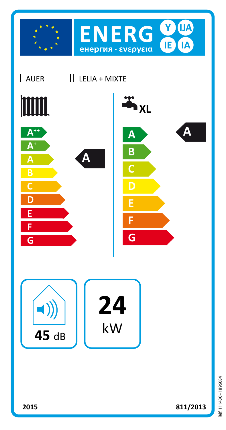



811/2013